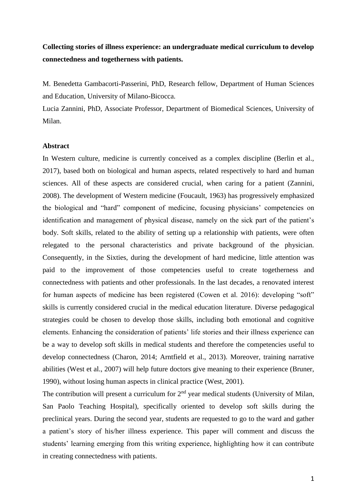### **Collecting stories of illness experience: an undergraduate medical curriculum to develop connectedness and togetherness with patients.**

M. Benedetta Gambacorti-Passerini, PhD, Research fellow, Department of Human Sciences and Education, University of Milano-Bicocca.

Lucia Zannini, PhD, Associate Professor, Department of Biomedical Sciences, University of Milan.

### **Abstract**

In Western culture, medicine is currently conceived as a complex discipline (Berlin et al., 2017), based both on biological and human aspects, related respectively to hard and human sciences. All of these aspects are considered crucial, when caring for a patient (Zannini, 2008). The development of Western medicine (Foucault, 1963) has progressively emphasized the biological and "hard" component of medicine, focusing physicians' competencies on identification and management of physical disease, namely on the sick part of the patient's body. Soft skills, related to the ability of setting up a relationship with patients, were often relegated to the personal characteristics and private background of the physician. Consequently, in the Sixties, during the development of hard medicine, little attention was paid to the improvement of those competencies useful to create togetherness and connectedness with patients and other professionals. In the last decades, a renovated interest for human aspects of medicine has been registered (Cowen et al. 2016): developing "soft" skills is currently considered crucial in the medical education literature. Diverse pedagogical strategies could be chosen to develop those skills, including both emotional and cognitive elements. Enhancing the consideration of patients' life stories and their illness experience can be a way to develop soft skills in medical students and therefore the competencies useful to develop connectedness (Charon, 2014; Arntfield et al., 2013). Moreover, training narrative abilities (West et al., 2007) will help future doctors give meaning to their experience (Bruner, 1990), without losing human aspects in clinical practice (West, 2001).

The contribution will present a curriculum for  $2<sup>nd</sup>$  year medical students (University of Milan, San Paolo Teaching Hospital), specifically oriented to develop soft skills during the preclinical years. During the second year, students are requested to go to the ward and gather a patient's story of his/her illness experience. This paper will comment and discuss the students' learning emerging from this writing experience, highlighting how it can contribute in creating connectedness with patients.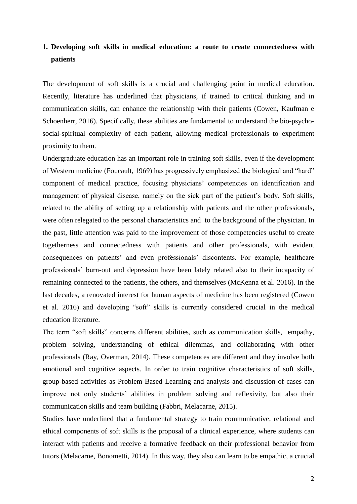# **1. Developing soft skills in medical education: a route to create connectedness with patients**

The development of soft skills is a crucial and challenging point in medical education. Recently, literature has underlined that physicians, if trained to critical thinking and in communication skills, can enhance the relationship with their patients (Cowen, Kaufman e Schoenherr, 2016). Specifically, these abilities are fundamental to understand the bio-psychosocial-spiritual complexity of each patient, allowing medical professionals to experiment proximity to them.

Undergraduate education has an important role in training soft skills, even if the development of Western medicine (Foucault, 1969) has progressively emphasized the biological and "hard" component of medical practice, focusing physicians' competencies on identification and management of physical disease, namely on the sick part of the patient's body. Soft skills, related to the ability of setting up a relationship with patients and the other professionals, were often relegated to the personal characteristics and to the background of the physician. In the past, little attention was paid to the improvement of those competencies useful to create togetherness and connectedness with patients and other professionals, with evident consequences on patients' and even professionals' discontents. For example, healthcare professionals' burn-out and depression have been lately related also to their incapacity of remaining connected to the patients, the others, and themselves (McKenna et al. 2016). In the last decades, a renovated interest for human aspects of medicine has been registered (Cowen et al. 2016) and developing "soft" skills is currently considered crucial in the medical education literature.

The term "soft skills" concerns different abilities, such as communication skills, empathy, problem solving, understanding of ethical dilemmas, and collaborating with other professionals (Ray, Overman, 2014). These competences are different and they involve both emotional and cognitive aspects. In order to train cognitive characteristics of soft skills, group-based activities as Problem Based Learning and analysis and discussion of cases can improve not only students' abilities in problem solving and reflexivity, but also their communication skills and team building (Fabbri, Melacarne, 2015).

Studies have underlined that a fundamental strategy to train communicative, relational and ethical components of soft skills is the proposal of a clinical experience, where students can interact with patients and receive a formative feedback on their professional behavior from tutors (Melacarne, Bonometti, 2014). In this way, they also can learn to be empathic, a crucial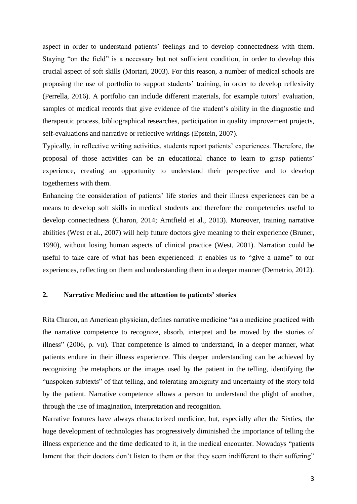aspect in order to understand patients' feelings and to develop connectedness with them. Staying "on the field" is a necessary but not sufficient condition, in order to develop this crucial aspect of soft skills (Mortari, 2003). For this reason, a number of medical schools are proposing the use of portfolio to support students' training, in order to develop reflexivity (Perrella, 2016). A portfolio can include different materials, for example tutors' evaluation, samples of medical records that give evidence of the student's ability in the diagnostic and therapeutic process, bibliographical researches, participation in quality improvement projects, self-evaluations and narrative or reflective writings (Epstein, 2007).

Typically, in reflective writing activities, students report patients' experiences. Therefore, the proposal of those activities can be an educational chance to learn to grasp patients' experience, creating an opportunity to understand their perspective and to develop togetherness with them.

Enhancing the consideration of patients' life stories and their illness experiences can be a means to develop soft skills in medical students and therefore the competencies useful to develop connectedness (Charon, 2014; Arntfield et al., 2013). Moreover, training narrative abilities (West et al., 2007) will help future doctors give meaning to their experience (Bruner, 1990), without losing human aspects of clinical practice (West, 2001). Narration could be useful to take care of what has been experienced: it enables us to "give a name" to our experiences, reflecting on them and understanding them in a deeper manner (Demetrio, 2012).

### **2. Narrative Medicine and the attention to patients' stories**

Rita Charon, an American physician, defines narrative medicine "as a medicine practiced with the narrative competence to recognize, absorb, interpret and be moved by the stories of illness" (2006, p. VII). That competence is aimed to understand, in a deeper manner, what patients endure in their illness experience. This deeper understanding can be achieved by recognizing the metaphors or the images used by the patient in the telling, identifying the "unspoken subtexts" of that telling, and tolerating ambiguity and uncertainty of the story told by the patient. Narrative competence allows a person to understand the plight of another, through the use of imagination, interpretation and recognition.

Narrative features have always characterized medicine, but, especially after the Sixties, the huge development of technologies has progressively diminished the importance of telling the illness experience and the time dedicated to it, in the medical encounter. Nowadays "patients lament that their doctors don't listen to them or that they seem indifferent to their suffering"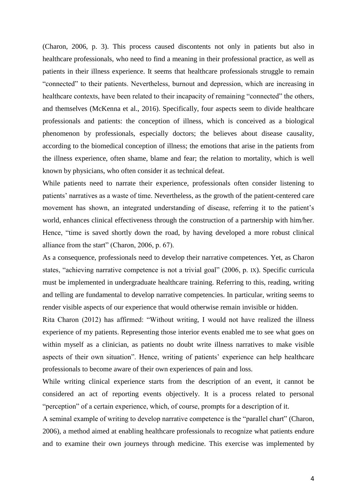(Charon, 2006, p. 3). This process caused discontents not only in patients but also in healthcare professionals, who need to find a meaning in their professional practice, as well as patients in their illness experience. It seems that healthcare professionals struggle to remain "connected" to their patients. Nevertheless, burnout and depression, which are increasing in healthcare contexts, have been related to their incapacity of remaining "connected" the others, and themselves (McKenna et al., 2016). Specifically, four aspects seem to divide healthcare professionals and patients: the conception of illness, which is conceived as a biological phenomenon by professionals, especially doctors; the believes about disease causality, according to the biomedical conception of illness; the emotions that arise in the patients from the illness experience, often shame, blame and fear; the relation to mortality, which is well known by physicians, who often consider it as technical defeat.

While patients need to narrate their experience, professionals often consider listening to patients' narratives as a waste of time. Nevertheless, as the growth of the patient-centered care movement has shown, an integrated understanding of disease, referring it to the patient's world, enhances clinical effectiveness through the construction of a partnership with him/her. Hence, "time is saved shortly down the road, by having developed a more robust clinical alliance from the start" (Charon, 2006, p. 67).

As a consequence, professionals need to develop their narrative competences. Yet, as Charon states, "achieving narrative competence is not a trivial goal" (2006, p. IX). Specific curricula must be implemented in undergraduate healthcare training. Referring to this, reading, writing and telling are fundamental to develop narrative competencies. In particular, writing seems to render visible aspects of our experience that would otherwise remain invisible or hidden.

Rita Charon (2012) has affirmed: "Without writing, I would not have realized the illness experience of my patients. Representing those interior events enabled me to see what goes on within myself as a clinician, as patients no doubt write illness narratives to make visible aspects of their own situation". Hence, writing of patients' experience can help healthcare professionals to become aware of their own experiences of pain and loss.

While writing clinical experience starts from the description of an event, it cannot be considered an act of reporting events objectively. It is a process related to personal "perception" of a certain experience, which, of course, prompts for a description of it.

A seminal example of writing to develop narrative competence is the "parallel chart" (Charon, 2006), a method aimed at enabling healthcare professionals to recognize what patients endure and to examine their own journeys through medicine. This exercise was implemented by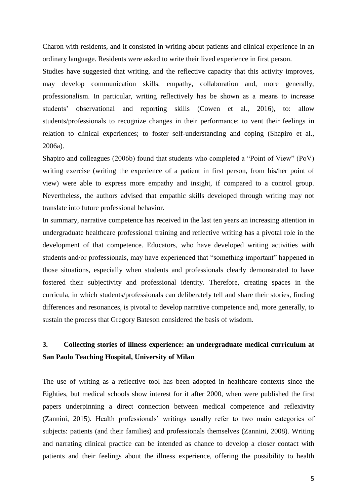Charon with residents, and it consisted in writing about patients and clinical experience in an ordinary language. Residents were asked to write their lived experience in first person.

Studies have suggested that writing, and the reflective capacity that this activity improves, may develop communication skills, empathy, collaboration and, more generally, professionalism. In particular, writing reflectively has be shown as a means to increase students' observational and reporting skills (Cowen et al., 2016), to: allow students/professionals to recognize changes in their performance; to vent their feelings in relation to clinical experiences; to foster self-understanding and coping (Shapiro et al., 2006a).

Shapiro and colleagues (2006b) found that students who completed a "Point of View" (PoV) writing exercise (writing the experience of a patient in first person, from his/her point of view) were able to express more empathy and insight, if compared to a control group. Nevertheless, the authors advised that empathic skills developed through writing may not translate into future professional behavior.

In summary, narrative competence has received in the last ten years an increasing attention in undergraduate healthcare professional training and reflective writing has a pivotal role in the development of that competence. Educators, who have developed writing activities with students and/or professionals, may have experienced that "something important" happened in those situations, especially when students and professionals clearly demonstrated to have fostered their subjectivity and professional identity. Therefore, creating spaces in the curricula, in which students/professionals can deliberately tell and share their stories, finding differences and resonances, is pivotal to develop narrative competence and, more generally, to sustain the process that Gregory Bateson considered the basis of wisdom.

# **3. Collecting stories of illness experience: an undergraduate medical curriculum at San Paolo Teaching Hospital, University of Milan**

The use of writing as a reflective tool has been adopted in healthcare contexts since the Eighties, but medical schools show interest for it after 2000, when were published the first papers underpinning a direct connection between medical competence and reflexivity (Zannini, 2015). Health professionals' writings usually refer to two main categories of subjects: patients (and their families) and professionals themselves (Zannini, 2008). Writing and narrating clinical practice can be intended as chance to develop a closer contact with patients and their feelings about the illness experience, offering the possibility to health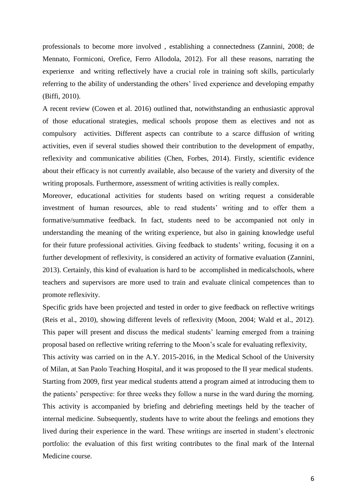professionals to become more involved , establishing a connectedness (Zannini, 2008; de Mennato, Formiconi, Orefice, Ferro Allodola, 2012). For all these reasons, narrating the experienxe and writing reflectively have a crucial role in training soft skills, particularly referring to the ability of understanding the others' lived experience and developing empathy (Biffi, 2010).

A recent review (Cowen et al. 2016) outlined that, notwithstanding an enthusiastic approval of those educational strategies, medical schools propose them as electives and not as compulsory activities. Different aspects can contribute to a scarce diffusion of writing activities, even if several studies showed their contribution to the development of empathy, reflexivity and communicative abilities (Chen, Forbes, 2014). Firstly, scientific evidence about their efficacy is not currently available, also because of the variety and diversity of the writing proposals. Furthermore, assessment of writing activities is really complex.

Moreover, educational activities for students based on writing request a considerable investment of human resources, able to read students' writing and to offer them a formative/summative feedback. In fact, students need to be accompanied not only in understanding the meaning of the writing experience, but also in gaining knowledge useful for their future professional activities. Giving feedback to students' writing, focusing it on a further development of reflexivity, is considered an activity of formative evaluation (Zannini, 2013). Certainly, this kind of evaluation is hard to be accomplished in medicalschools, where teachers and supervisors are more used to train and evaluate clinical competences than to promote reflexivity.

Specific grids have been projected and tested in order to give feedback on reflective writings (Reis et al., 2010), showing different levels of reflexivity (Moon, 2004; Wald et al., 2012). This paper will present and discuss the medical students' learning emerged from a training proposal based on reflective writing referring to the Moon's scale for evaluating reflexivity,

This activity was carried on in the A.Y. 2015-2016, in the Medical School of the University of Milan, at San Paolo Teaching Hospital, and it was proposed to the II year medical students. Starting from 2009, first year medical students attend a program aimed at introducing them to the patients' perspective: for three weeks they follow a nurse in the ward during the morning. This activity is accompanied by briefing and debriefing meetings held by the teacher of internal medicine. Subsequently, students have to write about the feelings and emotions they lived during their experience in the ward. These writings are inserted in student's electronic portfolio: the evaluation of this first writing contributes to the final mark of the Internal Medicine course.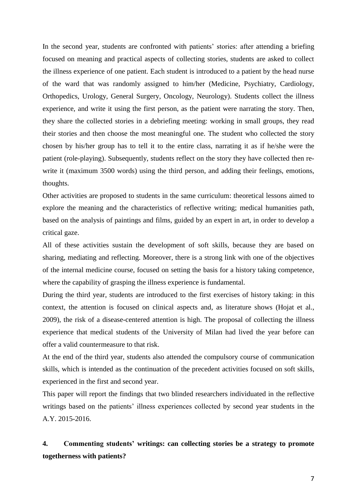In the second year, students are confronted with patients' stories: after attending a briefing focused on meaning and practical aspects of collecting stories, students are asked to collect the illness experience of one patient. Each student is introduced to a patient by the head nurse of the ward that was randomly assigned to him/her (Medicine, Psychiatry, Cardiology, Orthopedics, Urology, General Surgery, Oncology, Neurology). Students collect the illness experience, and write it using the first person, as the patient were narrating the story. Then, they share the collected stories in a debriefing meeting: working in small groups, they read their stories and then choose the most meaningful one. The student who collected the story chosen by his/her group has to tell it to the entire class, narrating it as if he/she were the patient (role-playing). Subsequently, students reflect on the story they have collected then rewrite it (maximum 3500 words) using the third person, and adding their feelings, emotions, thoughts.

Other activities are proposed to students in the same curriculum: theoretical lessons aimed to explore the meaning and the characteristics of reflective writing; medical humanities path, based on the analysis of paintings and films, guided by an expert in art, in order to develop a critical gaze.

All of these activities sustain the development of soft skills, because they are based on sharing, mediating and reflecting. Moreover, there is a strong link with one of the objectives of the internal medicine course, focused on setting the basis for a history taking competence, where the capability of grasping the illness experience is fundamental.

During the third year, students are introduced to the first exercises of history taking: in this context, the attention is focused on clinical aspects and, as literature shows (Hojat et al., 2009), the risk of a disease-centered attention is high. The proposal of collecting the illness experience that medical students of the University of Milan had lived the year before can offer a valid countermeasure to that risk.

At the end of the third year, students also attended the compulsory course of communication skills, which is intended as the continuation of the precedent activities focused on soft skills, experienced in the first and second year.

This paper will report the findings that two blinded researchers individuated in the reflective writings based on the patients' illness experiences collected by second year students in the A.Y. 2015-2016.

# **4. Commenting students' writings: can collecting stories be a strategy to promote togetherness with patients?**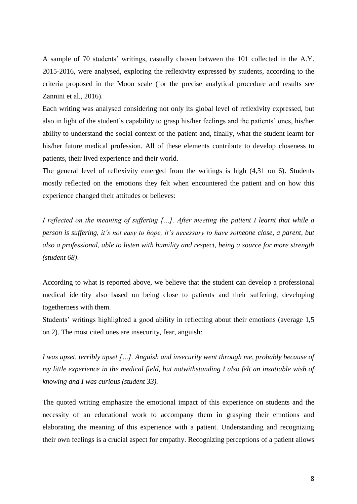A sample of 70 students' writings, casually chosen between the 101 collected in the A.Y. 2015-2016, were analysed, exploring the reflexivity expressed by students, according to the criteria proposed in the Moon scale (for the precise analytical procedure and results see Zannini et al., 2016).

Each writing was analysed considering not only its global level of reflexivity expressed, but also in light of the student's capability to grasp his/her feelings and the patients' ones, his/her ability to understand the social context of the patient and, finally, what the student learnt for his/her future medical profession. All of these elements contribute to develop closeness to patients, their lived experience and their world.

The general level of reflexivity emerged from the writings is high (4,31 on 6). Students mostly reflected on the emotions they felt when encountered the patient and on how this experience changed their attitudes or believes:

*I reflected on the meaning of suffering […]. After meeting the patient I learnt that while a person is suffering, it's not easy to hope, it's necessary to have someone close, a parent, but also a professional, able to listen with humility and respect, being a source for more strength (student 68)*.

According to what is reported above, we believe that the student can develop a professional medical identity also based on being close to patients and their suffering, developing togetherness with them.

Students' writings highlighted a good ability in reflecting about their emotions (average 1,5 on 2). The most cited ones are insecurity, fear, anguish:

*I was upset, terribly upset […]. Anguish and insecurity went through me, probably because of my little experience in the medical field, but notwithstanding I also felt an insatiable wish of knowing and I was curious (student 33).* 

The quoted writing emphasize the emotional impact of this experience on students and the necessity of an educational work to accompany them in grasping their emotions and elaborating the meaning of this experience with a patient. Understanding and recognizing their own feelings is a crucial aspect for empathy. Recognizing perceptions of a patient allows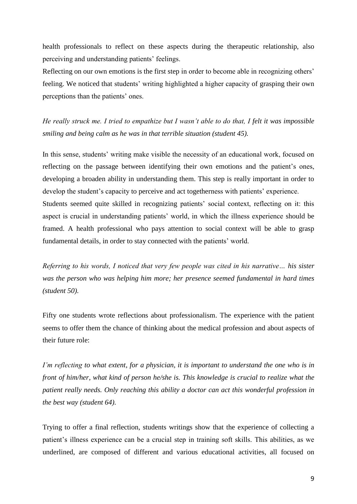health professionals to reflect on these aspects during the therapeutic relationship, also perceiving and understanding patients' feelings.

Reflecting on our own emotions is the first step in order to become able in recognizing others' feeling. We noticed that students' writing highlighted a higher capacity of grasping their own perceptions than the patients' ones.

*He really struck me. I tried to empathize but I wasn't able to do that, I felt it was impossible smiling and being calm as he was in that terrible situation (student 45).*

In this sense, students' writing make visible the necessity of an educational work, focused on reflecting on the passage between identifying their own emotions and the patient's ones, developing a broaden ability in understanding them. This step is really important in order to develop the student's capacity to perceive and act togetherness with patients' experience. Students seemed quite skilled in recognizing patients' social context, reflecting on it: this aspect is crucial in understanding patients' world, in which the illness experience should be framed. A health professional who pays attention to social context will be able to grasp fundamental details, in order to stay connected with the patients' world.

*Referring to his words, I noticed that very few people was cited in his narrative… his sister was the person who was helping him more; her presence seemed fundamental in hard times (student 50).*

Fifty one students wrote reflections about professionalism. The experience with the patient seems to offer them the chance of thinking about the medical profession and about aspects of their future role:

*I'm reflecting to what extent, for a physician, it is important to understand the one who is in front of him/her, what kind of person he/she is. This knowledge is crucial to realize what the patient really needs. Only reaching this ability a doctor can act this wonderful profession in the best way (student 64).* 

Trying to offer a final reflection, students writings show that the experience of collecting a patient's illness experience can be a crucial step in training soft skills. This abilities, as we underlined, are composed of different and various educational activities, all focused on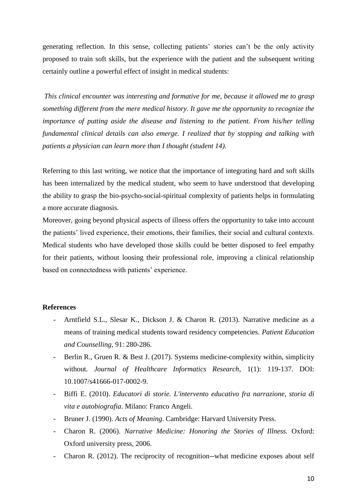generating reflection. In this sense, collecting patients' stories can't be the only activity proposed to train soft skills, but the experience with the patient and the subsequent writing certainly outline a powerful effect of insight in medical students:

*This clinical encounter was interesting and formative for me, because it allowed me to grasp something different from the mere medical history. It gave me the opportunity to recognize the importance of putting aside the disease and listening to the patient. From his/her telling fundamental clinical details can also emerge. I realized that by stopping and talking with patients a physician can learn more than I thought (student 14).*

Referring to this last writing, we notice that the importance of integrating hard and soft skills has been internalized by the medical student, who seem to have understood that developing the ability to grasp the bio-psycho-social-spiritual complexity of patients helps in formulating a more accurate diagnosis.

Moreover, going beyond physical aspects of illness offers the opportunity to take into account the patients' lived experience, their emotions, their families, their social and cultural contexts. Medical students who have developed those skills could be better disposed to feel empathy for their patients, without loosing their professional role, improving a clinical relationship based on connectedness with patients' experience.

### **References**

- Arntfield S.L., Slesar K., Dickson J. & Charon R. (2013). Narrative medicine as a means of training medical students toward residency competencies. *Patient Education and Counselling*, 91: 280-286.
- Berlin R., Gruen R. & Best J. (2017). Systems medicine-complexity within, simplicity without. *Journal of Healthcare Informatics Research*, 1(1): 119-137. DOI: 10.1007/s41666-017-0002-9.
- Biffi E. (2010). *Educatori di storie. L'intervento educativo fra narrazione, storia di vita e autobiografia*. Milano: Franco Angeli.
- Bruner J. (1990). *Acts of Meaning*. Cambridge: Harvard University Press.
- Charon R. (2006). *Narrative Medicine: Honoring the Stories of Illness.* Oxford: Oxford university press, 2006.
- Charon R. (2012). The reciprocity of recognition--what medicine exposes about self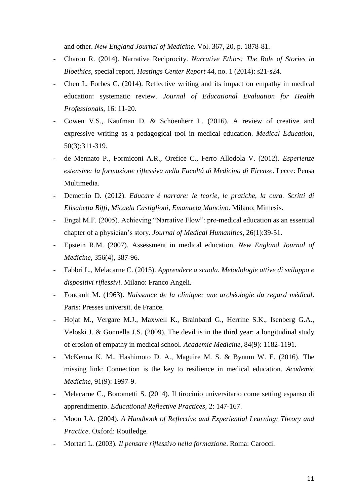and other. *New England Journal of Medicine.* Vol. 367, 20, p. 1878-81.

- Charon R. (2014). Narrative Reciprocity. *Narrative Ethics: The Role of Stories in Bioethics*, special report, *Hastings Center Report* 44, no. 1 (2014): s21-s24.
- Chen I., Forbes C. (2014). Reflective writing and its impact on empathy in medical education: systematic review. *Journal of Educational Evaluation for Health Professionals*, 16: 11-20.
- Cowen V.S., Kaufman D. & Schoenherr L. (2016). A review of creative and expressive writing as a pedagogical tool in medical education. *Medical Education*, 50(3):311-319.
- de Mennato P., Formiconi A.R., Orefice C., Ferro Allodola V. (2012). *Esperienze estensive: la formazione riflessiva nella Facoltà di Medicina di Firenze*. Lecce: Pensa Multimedia.
- Demetrio D. (2012). *Educare è narrare: le teorie, le pratiche, la cura. Scritti di Elisabetta Biffi, Micaela Castiglioni, Emanuela Mancino*. Milano: Mimesis.
- Engel M.F. (2005). Achieving "Narrative Flow": pre-medical education as an essential chapter of a physician's story. *Journal of Medical Humanities*, 26(1):39-51.
- Epstein R.M. (2007). Assessment in medical education. *New England Journal of Medicine*, 356(4), 387-96.
- Fabbri L., Melacarne C. (2015). *Apprendere a scuola. Metodologie attive di sviluppo e dispositivi riflessivi*. Milano: Franco Angeli.
- Foucault M. (1963). *Naissance de la clinique: une archéologie du regard médical*. Paris: Presses universit. de France.
- Hojat M., Vergare M.J., Maxwell K., Brainbard G., Herrine S.K., Isenberg G.A., Veloski J. & Gonnella J.S. (2009). The devil is in the third year: a longitudinal study of erosion of empathy in medical school. *Academic Medicine,* 84(9): 1182-1191.
- McKenna K. M., Hashimoto D. A., Maguire M. S. & Bynum W. E. (2016). The missing link: Connection is the key to resilience in medical education. *Academic Medicine,* 91(9): 1997-9.
- Melacarne C., Bonometti S. (2014). Il tirocinio universitario come setting espanso di apprendimento. *Educational Reflective Practices*, 2: 147-167.
- Moon J.A. (2004). *A Handbook of Reflective and Experiential Learning: Theory and Practice*. Oxford: Routledge.
- Mortari L. (2003). *Il pensare riflessivo nella formazione*. Roma: Carocci.